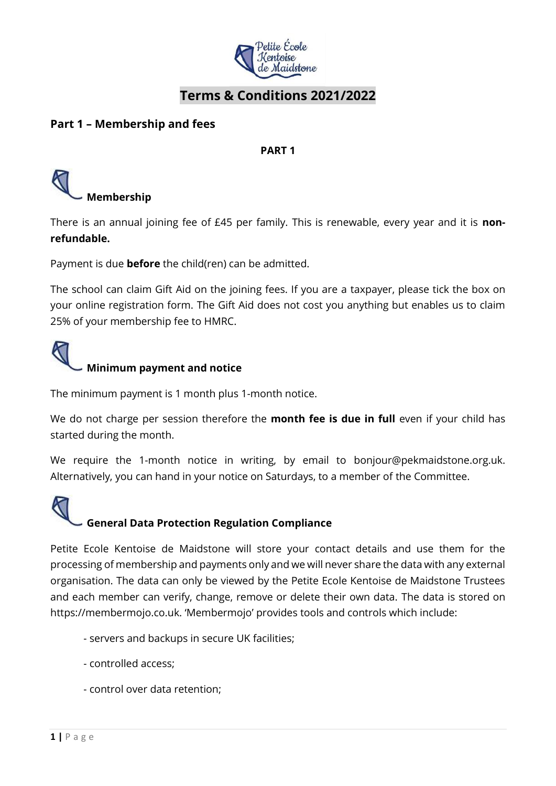

#### **Terms & Conditions 2021/2022**

#### **Part 1 – Membership and fees**

**PART 1**



There is an annual joining fee of £45 per family. This is renewable, every year and it is **nonrefundable.** 

Payment is due **before** the child(ren) can be admitted.

The school can claim Gift Aid on the joining fees. If you are a taxpayer, please tick the box on your online registration form. The Gift Aid does not cost you anything but enables us to claim 25% of your membership fee to HMRC.

## **Minimum payment and notice**

The minimum payment is 1 month plus 1-month notice.

We do not charge per session therefore the **month fee is due in full** even if your child has started during the month.

We require the 1-month notice in writing, by email to bonjour@pekmaidstone.org.uk. Alternatively, you can hand in your notice on Saturdays, to a member of the Committee.

# **General Data Protection Regulation Compliance**

Petite Ecole Kentoise de Maidstone will store your contact details and use them for the processing of membership and payments only and we will never share the data with any external organisation. The data can only be viewed by the Petite Ecole Kentoise de Maidstone Trustees and each member can verify, change, remove or delete their own data. The data is stored on https://membermojo.co.uk. 'Membermojo' provides tools and controls which include:

- servers and backups in secure UK facilities;
- controlled access;
- control over data retention;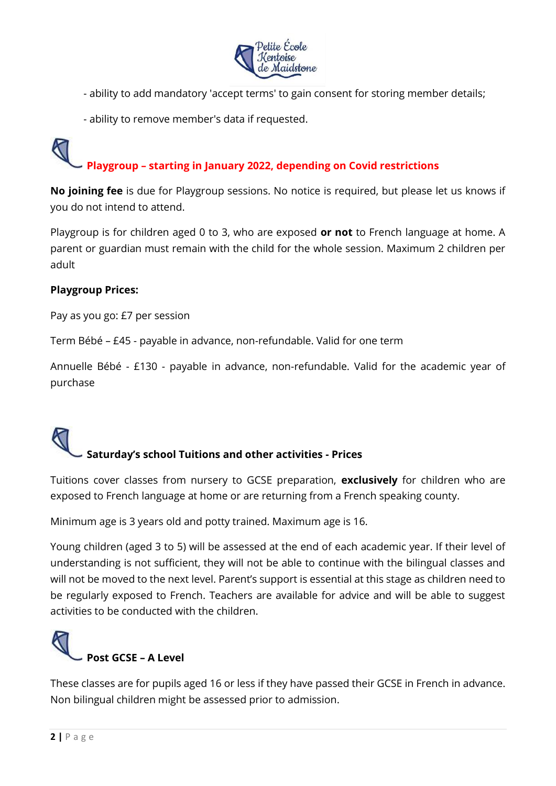

- ability to add mandatory 'accept terms' to gain consent for storing member details;
- ability to remove member's data if requested.

### **Playgroup – starting in January 2022, depending on Covid restrictions**

**No joining fee** is due for Playgroup sessions. No notice is required, but please let us knows if you do not intend to attend.

Playgroup is for children aged 0 to 3, who are exposed **or not** to French language at home. A parent or guardian must remain with the child for the whole session. Maximum 2 children per adult

#### **Playgroup Prices:**

Pay as you go: £7 per session

Term Bébé – £45 - payable in advance, non-refundable. Valid for one term

Annuelle Bébé - £130 - payable in advance, non-refundable. Valid for the academic year of purchase

# **Saturday's school Tuitions and other activities - Prices**

Tuitions cover classes from nursery to GCSE preparation, **exclusively** for children who are exposed to French language at home or are returning from a French speaking county.

Minimum age is 3 years old and potty trained. Maximum age is 16.

Young children (aged 3 to 5) will be assessed at the end of each academic year. If their level of understanding is not sufficient, they will not be able to continue with the bilingual classes and will not be moved to the next level. Parent's support is essential at this stage as children need to be regularly exposed to French. Teachers are available for advice and will be able to suggest activities to be conducted with the children.



These classes are for pupils aged 16 or less if they have passed their GCSE in French in advance. Non bilingual children might be assessed prior to admission.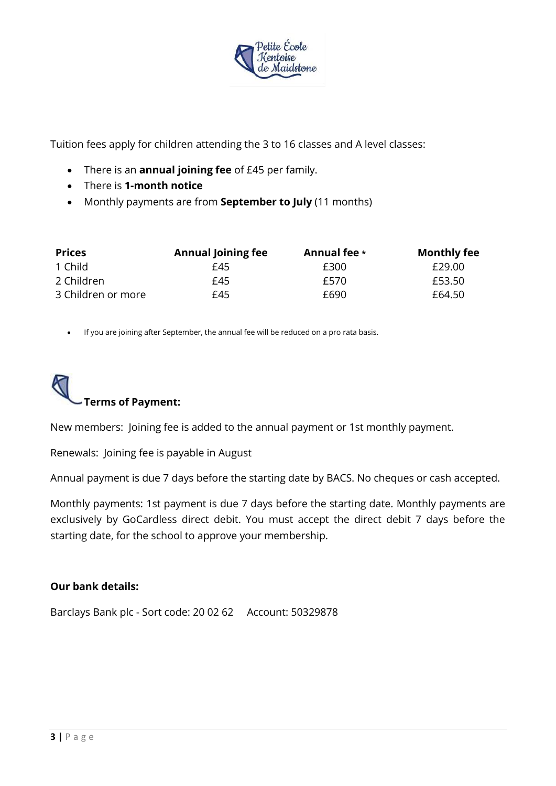

Tuition fees apply for children attending the 3 to 16 classes and A level classes:

- There is an **annual joining fee** of £45 per family.
- There is **1-month notice**
- Monthly payments are from **September to July** (11 months)

| <b>Prices</b>      | <b>Annual Joining fee</b> | Annual fee * | <b>Monthly fee</b> |
|--------------------|---------------------------|--------------|--------------------|
| 1 Child            | £45                       | £300         | £29.00             |
| 2 Children         | £45                       | £570         | £53.50             |
| 3 Children or more | £45                       | £690.        | £64.50             |

• If you are joining after September, the annual fee will be reduced on a pro rata basis.



New members: Joining fee is added to the annual payment or 1st monthly payment.

Renewals: Joining fee is payable in August

Annual payment is due 7 days before the starting date by BACS. No cheques or cash accepted.

Monthly payments: 1st payment is due 7 days before the starting date. Monthly payments are exclusively by GoCardless direct debit. You must accept the direct debit 7 days before the starting date, for the school to approve your membership.

#### **Our bank details:**

Barclays Bank plc - Sort code: 20 02 62 Account: 50329878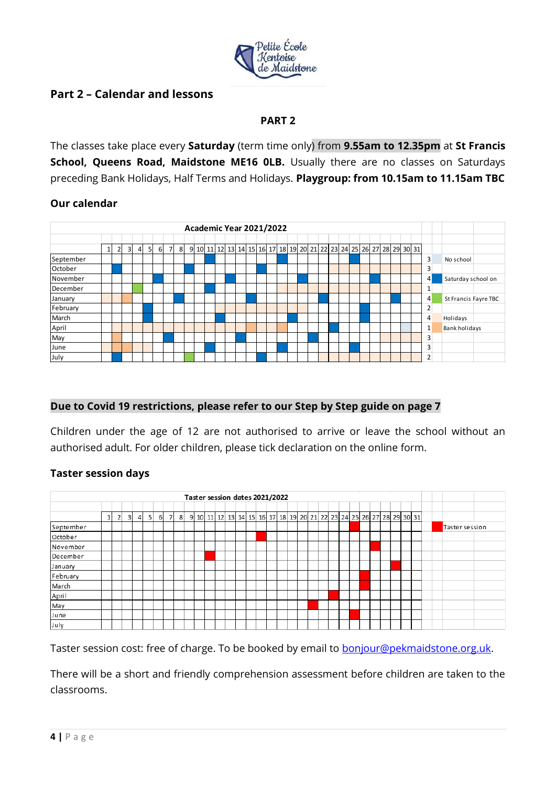

#### **Part 2 – Calendar and lessons**

#### **PART 2**

The classes take place every **Saturday** (term time only) from **9.55am to 12.35pm** at **St Francis School, Queens Road, Maidstone ME16 OLB.** Usually there are no classes on Saturdays preceding Bank Holidays, Half Terms and Holidays. **Playgroup: from 10.15am to 11.15am TBC**

#### **Our calendar**



#### **Due to Covid 19 restrictions, please refer to our Step by Step guide on page 7**

Children under the age of 12 are not authorised to arrive or leave the school without an authorised adult. For older children, please tick declaration on the online form.

#### **Taster session days**



Taster session cost: free of charge. To be booked by email to [bonjour@pekmaidstone.org.uk.](mailto:bonjour@pekmaidstone.org.uk)

There will be a short and friendly comprehension assessment before children are taken to the classrooms.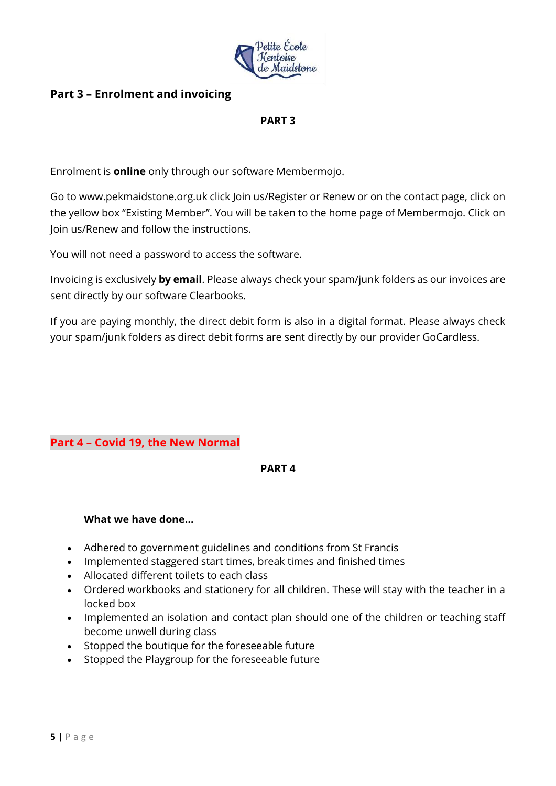

#### **Part 3 – Enrolment and invoicing**

#### **PART 3**

Enrolment is **online** only through our software Membermojo.

Go to www.pekmaidstone.org.uk click Join us/Register or Renew or on the contact page, click on the yellow box "Existing Member". You will be taken to the home page of Membermojo. Click on Join us/Renew and follow the instructions.

You will not need a password to access the software.

Invoicing is exclusively **by email**. Please always check your spam/junk folders as our invoices are sent directly by our software Clearbooks.

If you are paying monthly, the direct debit form is also in a digital format. Please always check your spam/junk folders as direct debit forms are sent directly by our provider GoCardless.

#### **Part 4 – Covid 19, the New Normal**

#### **PART 4**

#### **What we have done…**

- Adhered to government guidelines and conditions from St Francis
- Implemented staggered start times, break times and finished times
- Allocated different toilets to each class
- Ordered workbooks and stationery for all children. These will stay with the teacher in a locked box
- Implemented an isolation and contact plan should one of the children or teaching staff become unwell during class
- Stopped the boutique for the foreseeable future
- Stopped the Playgroup for the foreseeable future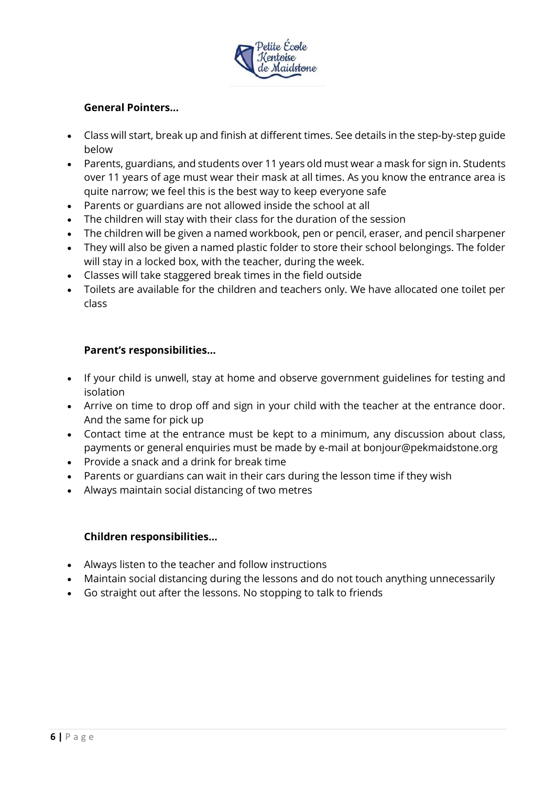

#### **General Pointers…**

- Class will start, break up and finish at different times. See details in the step-by-step guide below
- Parents, guardians, and students over 11 years old must wear a mask for sign in. Students over 11 years of age must wear their mask at all times. As you know the entrance area is quite narrow; we feel this is the best way to keep everyone safe
- Parents or guardians are not allowed inside the school at all
- The children will stay with their class for the duration of the session
- The children will be given a named workbook, pen or pencil, eraser, and pencil sharpener
- They will also be given a named plastic folder to store their school belongings. The folder will stay in a locked box, with the teacher, during the week.
- Classes will take staggered break times in the field outside
- Toilets are available for the children and teachers only. We have allocated one toilet per class

#### **Parent's responsibilities…**

- If your child is unwell, stay at home and observe government guidelines for testing and isolation
- Arrive on time to drop off and sign in your child with the teacher at the entrance door. And the same for pick up
- Contact time at the entrance must be kept to a minimum, any discussion about class, payments or general enquiries must be made by e-mail at bonjour@pekmaidstone.org
- Provide a snack and a drink for break time
- Parents or guardians can wait in their cars during the lesson time if they wish
- Always maintain social distancing of two metres

#### **Children responsibilities…**

- Always listen to the teacher and follow instructions
- Maintain social distancing during the lessons and do not touch anything unnecessarily
- Go straight out after the lessons. No stopping to talk to friends